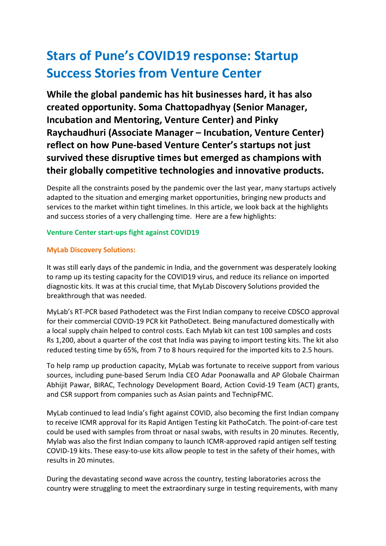# **Stars of Pune's COVID19 response: Startup Success Stories from Venture Center**

**While the global pandemic has hit businesses hard, it has also created opportunity. Soma Chattopadhyay (Senior Manager, Incubation and Mentoring, Venture Center) and Pinky Raychaudhuri (Associate Manager – Incubation, Venture Center) reflect on how Pune-based Venture Center's startups not just survived these disruptive times but emerged as champions with their globally competitive technologies and innovative products.** 

Despite all the constraints posed by the pandemic over the last year, many startups actively adapted to the situation and emerging market opportunities, bringing new products and services to the market within tight timelines. In this article, we look back at the highlights and success stories of a very challenging time. Here are a few highlights:

## **Venture Center start-ups fight against COVID19**

#### **MyLab Discovery Solutions:**

It was still early days of the pandemic in India, and the government was desperately looking to ramp up its testing capacity for the COVID19 virus, and reduce its reliance on imported diagnostic kits. It was at this crucial time, that MyLab Discovery Solutions provided the breakthrough that was needed.

MyLab's RT-PCR based Pathodetect was the First Indian company to receive CDSCO approval for their commercial COVID-19 PCR kit PathoDetect. Being manufactured domestically with a local supply chain helped to control costs. Each Mylab kit can test 100 samples and costs Rs 1,200, about a quarter of the cost that India was paying to import testing kits. The kit also reduced testing time by 65%, from 7 to 8 hours required for the imported kits to 2.5 hours.

To help ramp up production capacity, MyLab was fortunate to receive support from various sources, including pune-based Serum India CEO Adar Poonawalla and AP Globale Chairman Abhijit Pawar, BIRAC, Technology Development Board, Action Covid-19 Team (ACT) grants, and CSR support from companies such as Asian paints and TechnipFMC.

MyLab continued to lead India's fight against COVID, also becoming the first Indian company to receive ICMR approval for its Rapid Antigen Testing kit PathoCatch. The point-of-care test could be used with samples from throat or nasal swabs, with results in 20 minutes. Recently, Mylab was also the first Indian company to launch ICMR-approved rapid antigen self testing COVID-19 kits. These easy-to-use kits allow people to test in the safety of their homes, with results in 20 minutes.

During the devastating second wave across the country, testing laboratories across the country were struggling to meet the extraordinary surge in testing requirements, with many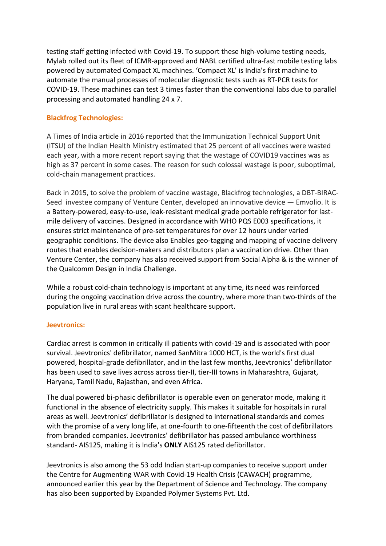testing staff getting infected with Covid-19. To support these high-volume testing needs, Mylab rolled out its fleet of ICMR-approved and NABL certified ultra-fast mobile testing labs powered by automated Compact XL machines. 'Compact XL' is India's first machine to automate the manual processes of molecular diagnostic tests such as RT-PCR tests for COVID-19. These machines can test 3 times faster than the conventional labs due to parallel processing and automated handling 24 x 7.

#### **Blackfrog Technologies:**

A Times of India article in 2016 reported that the Immunization Technical Support Unit (ITSU) of the Indian Health Ministry estimated that 25 percent of all vaccines were wasted each year, with a more recent report saying that the wastage of COVID19 vaccines was as high as 37 percent in some cases. The reason for such colossal wastage is poor, suboptimal, cold-chain management practices.

Back in 2015, to solve the problem of vaccine wastage, Blackfrog technologies, a DBT-BIRAC-Seed investee company of Venture Center, developed an innovative device — Emvolio. It is a Battery-powered, easy-to-use, leak-resistant medical grade portable refrigerator for lastmile delivery of vaccines. Designed in accordance with WHO PQS E003 specifications, it ensures strict maintenance of pre-set temperatures for over 12 hours under varied geographic conditions. The device also Enables geo-tagging and mapping of vaccine delivery routes that enables decision-makers and distributors plan a vaccination drive. Other than Venture Center, the company has also received support from Social Alpha & is the winner of the Qualcomm Design in India Challenge.

While a robust cold-chain technology is important at any time, its need was reinforced during the ongoing vaccination drive across the country, where more than two-thirds of the population live in rural areas with scant healthcare support.

#### **Jeevtronics:**

Cardiac arrest is common in critically ill patients with covid-19 and is associated with poor survival. Jeevtronics' defibrillator, named SanMitra 1000 HCT, is the world's first dual powered, hospital-grade defibrillator, and in the last few months, Jeevtronics' defibrillator has been used to save lives across across tier-II, tier-III towns in Maharashtra, Gujarat, Haryana, Tamil Nadu, Rajasthan, and even Africa.

The dual powered bi-phasic defibrillator is operable even on generator mode, making it functional in the absence of electricity supply. This makes it suitable for hospitals in rural areas as well. Jeevtronics' defibrillator is designed to international standards and comes with the promise of a very long life, at one-fourth to one-fifteenth the cost of defibrillators from branded companies. Jeevtronics' defibrillator has passed ambulance worthiness standard- AIS125, making it is India's **ONLY** AIS125 rated defibrillator.

Jeevtronics is also among the 53 odd Indian start-up companies to receive support under the Centre for Augmenting WAR with Covid-19 Health Crisis (CAWACH) programme, announced earlier this year by the Department of Science and Technology. The company has also been supported by Expanded Polymer Systems Pvt. Ltd.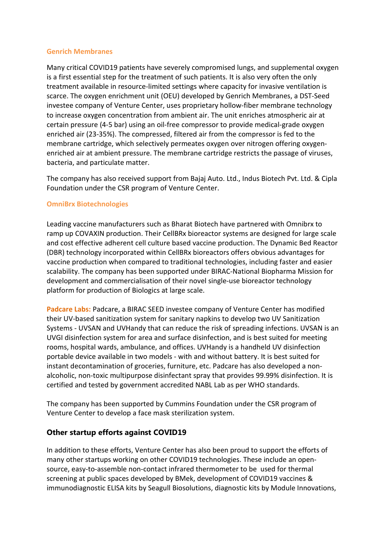#### **Genrich Membranes**

Many critical COVID19 patients have severely compromised lungs, and supplemental oxygen is a first essential step for the treatment of such patients. It is also very often the only treatment available in resource-limited settings where capacity for invasive ventilation is scarce. The oxygen enrichment unit (OEU) developed by Genrich Membranes, a DST-Seed investee company of Venture Center, uses proprietary hollow-fiber membrane technology to increase oxygen concentration from ambient air. The unit enriches atmospheric air at certain pressure (4-5 bar) using an oil-free compressor to provide medical-grade oxygen enriched air (23-35%). The compressed, filtered air from the compressor is fed to the membrane cartridge, which selectively permeates oxygen over nitrogen offering oxygenenriched air at ambient pressure. The membrane cartridge restricts the passage of viruses, bacteria, and particulate matter.

The company has also received support from Bajaj Auto. Ltd., Indus Biotech Pvt. Ltd. & Cipla Foundation under the CSR program of Venture Center.

## **OmniBrx Biotechnologies**

Leading vaccine manufacturers such as Bharat Biotech have partnered with Omnibrx to ramp up COVAXIN production. Their CellBRx bioreactor systems are designed for large scale and cost effective adherent cell culture based vaccine production. The Dynamic Bed Reactor (DBR) technology incorporated within CellBRx bioreactors offers obvious advantages for vaccine production when compared to traditional technologies, including faster and easier scalability. The company has been supported under BIRAC-National Biopharma Mission for development and commercialisation of their novel single-use bioreactor technology platform for production of Biologics at large scale.

**Padcare Labs:** Padcare, a BIRAC SEED investee company of Venture Center has modified their UV-based sanitization system for sanitary napkins to develop two UV Sanitization Systems - UVSAN and UVHandy that can reduce the risk of spreading infections. UVSAN is an UVGI disinfection system for area and surface disinfection, and is best suited for meeting rooms, hospital wards, ambulance, and offices. UVHandy is a handheld UV disinfection portable device available in two models - with and without battery. It is best suited for instant decontamination of groceries, furniture, etc. Padcare has also developed a nonalcoholic, non-toxic multipurpose disinfectant spray that provides 99.99% disinfection. It is certified and tested by government accredited NABL Lab as per WHO standards.

The company has been supported by Cummins Foundation under the CSR program of Venture Center to develop a face mask sterilization system.

## **Other startup efforts against COVID19**

In addition to these efforts, Venture Center has also been proud to support the efforts of many other startups working on other COVID19 technologies. These include an opensource, easy-to-assemble non-contact infrared thermometer to be used for thermal screening at public spaces developed by BMek, development of COVID19 vaccines & immunodiagnostic ELISA kits by Seagull Biosolutions, diagnostic kits by Module Innovations,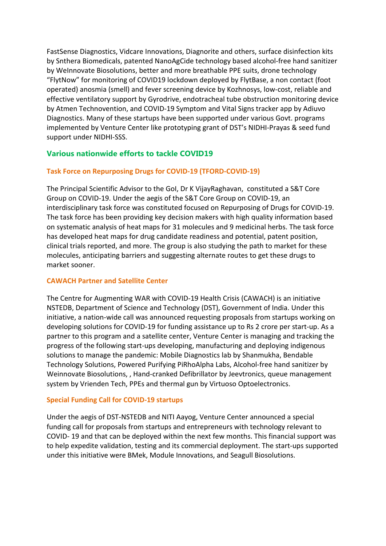FastSense Diagnostics, Vidcare Innovations, Diagnorite and others, surface disinfection kits by Snthera Biomedicals, patented NanoAgCide technology based alcohol-free hand sanitizer by WeInnovate Biosolutions, better and more breathable PPE suits, drone technology "FlytNow" for monitoring of COVID19 lockdown deployed by FlytBase, a non contact (foot operated) anosmia (smell) and fever screening device by Kozhnosys, low-cost, reliable and effective ventilatory support by Gyrodrive, endotracheal tube obstruction monitoring device by Atmen Technovention, and COVID-19 Symptom and Vital Signs tracker app by Adiuvo Diagnostics. Many of these startups have been supported under various Govt. programs implemented by Venture Center like prototyping grant of DST's NIDHI-Prayas & seed fund support under NIDHI-SSS.

## **Various nationwide efforts to tackle COVID19**

## **Task Force on Repurposing Drugs for COVID-19 (TFORD-COVID-19)**

The Principal Scientific Advisor to the GoI, Dr K VijayRaghavan, constituted a S&T Core Group on COVID-19. Under the aegis of the S&T Core Group on COVID-19, an interdisciplinary task force was constituted focused on Repurposing of Drugs for COVID-19. The task force has been providing key decision makers with high quality information based on systematic analysis of heat maps for 31 molecules and 9 medicinal herbs. The task force has developed heat maps for drug candidate readiness and potential, patent position, clinical trials reported, and more. The group is also studying the path to market for these molecules, anticipating barriers and suggesting alternate routes to get these drugs to market sooner.

## **CAWACH Partner and Satellite Center**

The Centre for Augmenting WAR with COVID-19 Health Crisis (CAWACH) is an initiative NSTEDB, Department of Science and Technology (DST), Government of India. Under this initiative, a nation-wide call was announced requesting proposals from startups working on developing solutions for COVID-19 for funding assistance up to Rs 2 crore per start-up. As a partner to this program and a satellite center, Venture Center is managing and tracking the progress of the following start-ups developing, manufacturing and deploying indigenous solutions to manage the pandemic: Mobile Diagnostics lab by Shanmukha, Bendable Technology Solutions, Powered Purifying PiRhoAlpha Labs, Alcohol-free hand sanitizer by Weinnovate Biosolutions, , Hand-cranked Defibrillator by Jeevtronics, queue management system by Vrienden Tech, PPEs and thermal gun by Virtuoso Optoelectronics.

#### **Special Funding Call for COVID-19 startups**

Under the aegis of DST-NSTEDB and NITI Aayog, Venture Center announced a special funding call for proposals from startups and entrepreneurs with technology relevant to COVID- 19 and that can be deployed within the next few months. This financial support was to help expedite validation, testing and its commercial deployment. The start-ups supported under this initiative were BMek, Module Innovations, and Seagull Biosolutions.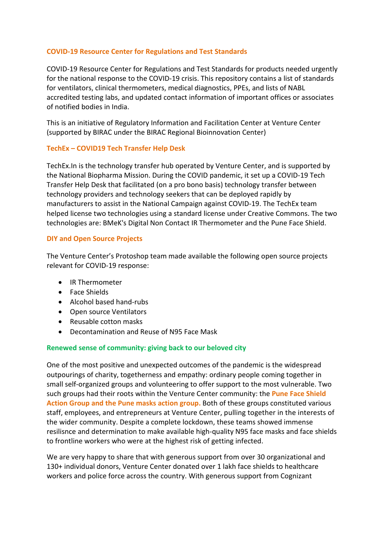## **COVID-19 Resource Center for Regulations and Test Standards**

COVID-19 Resource Center for Regulations and Test Standards for products needed urgently for the national response to the COVID-19 crisis. This repository contains a list of standards for ventilators, clinical thermometers, medical diagnostics, PPEs, and lists of NABL accredited testing labs, and updated contact information of important offices or associates of notified bodies in India.

This is an initiative of Regulatory Information and Facilitation Center at Venture Center (supported by BIRAC under the BIRAC Regional Bioinnovation Center)

#### **TechEx – COVID19 Tech Transfer Help Desk**

TechEx.In is the technology transfer hub operated by Venture Center, and is supported by the National Biopharma Mission. During the COVID pandemic, it set up a COVID-19 Tech Transfer Help Desk that facilitated (on a pro bono basis) technology transfer between technology providers and technology seekers that can be deployed rapidly by manufacturers to assist in the National Campaign against COVID-19. The TechEx team helped license two technologies using a standard license under Creative Commons. The two technologies are: BMeK's Digital Non Contact IR Thermometer and the Pune Face Shield.

#### **DIY and Open Source Projects**

The Venture Center's Protoshop team made available the following open source projects relevant for COVID-19 response:

- IR Thermometer
- Face Shields
- Alcohol based hand-rubs
- Open source Ventilators
- Reusable cotton masks
- Decontamination and Reuse of N95 Face Mask

## **Renewed sense of community: giving back to our beloved city**

One of the most positive and unexpected outcomes of the pandemic is the widespread outpourings of charity, togetherness and empathy: ordinary people coming together in small self-organized groups and volunteering to offer support to the most vulnerable. Two such groups had their roots within the Venture Center community: the **Pune Face Shield Action Group and the Pune masks action group.** Both of these groups constituted various staff, employees, and entrepreneurs at Venture Center, pulling together in the interests of the wider community. Despite a complete lockdown, these teams showed immense resilisnce and determination to make available high-quality N95 face masks and face shields to frontline workers who were at the highest risk of getting infected.

We are very happy to share that with generous support from over 30 organizational and 130+ individual donors, Venture Center donated over 1 lakh face shields to healthcare workers and police force across the country. With generous support from Cognizant